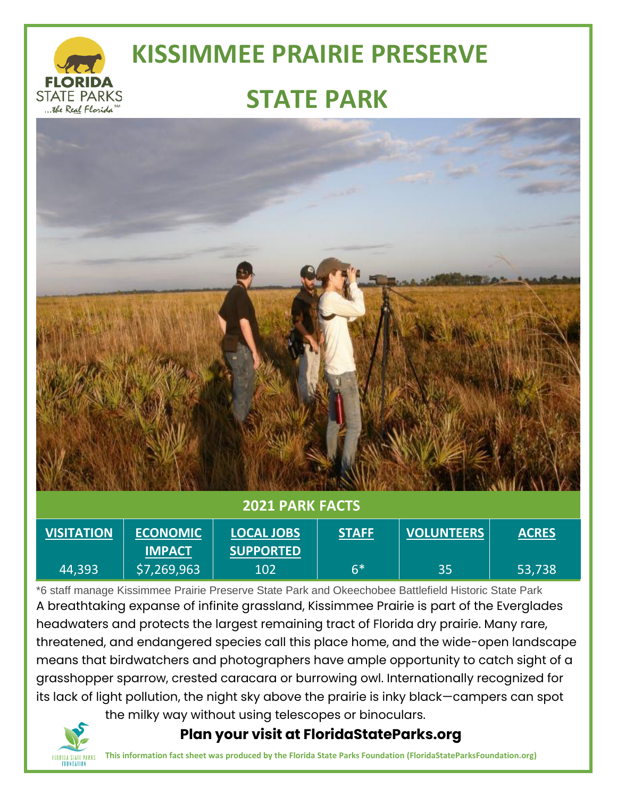

# **KISSIMMEE PRAIRIE PRESERVE**

#### **STATE PARK**



| <b>VISITATION</b> | <b>ECONOMIC</b> | <b>LOCAL JOBS</b> | <b>STAFF</b> | <b>VOLUNTEERS</b> | <b>ACRES</b> |
|-------------------|-----------------|-------------------|--------------|-------------------|--------------|
|                   | <b>IMPACT</b>   | <b>SUPPORTED</b>  |              |                   |              |
| 44,393            | \$7,269,963     | 102               | $6*$         | 35                | 53,738       |

\*6 staff manage Kissimmee Prairie Preserve State Park and Okeechobee Battlefield Historic State Park A breathtaking expanse of infinite grassland, Kissimmee Prairie is part of the Everglades headwaters and protects the largest remaining tract of Florida dry prairie. Many rare, threatened, and endangered species call this place home, and the wide-open landscape means that birdwatchers and photographers have ample opportunity to catch sight of a grasshopper sparrow, crested caracara or burrowing owl. Internationally recognized for its lack of light pollution, the night sky above the prairie is inky black—campers can spot

the milky way without using telescopes or binoculars.

#### **Plan your visit at FloridaStateParks.org**



**This information fact sheet was produced by the Florida State Parks Foundation (FloridaStateParksFoundation.org)**